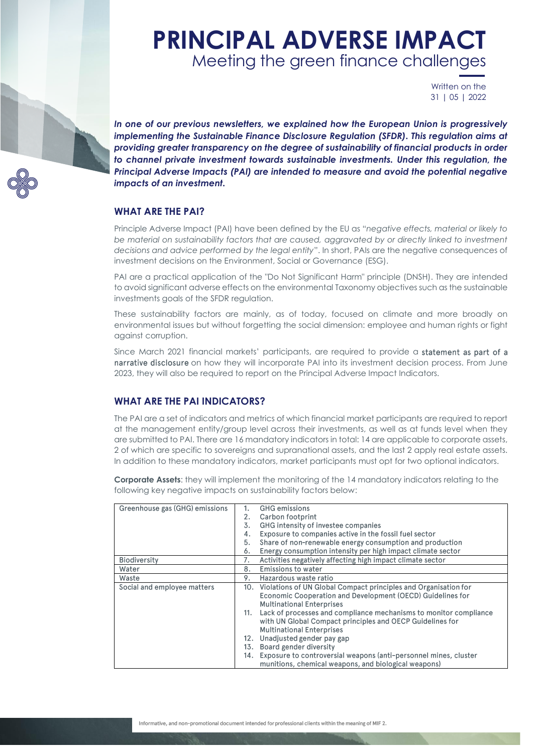# **PRINCIPAL ADVERSE IMPACT** Meeting the green finance challenges

Written on the 31 | 05 | 2022

*In one of our previous newsletters, we explained how the European Union is progressively implementing the Sustainable Finance Disclosure Regulation (SFDR). This regulation aims at providing greater transparency on the degree of sustainability of financial products in order to channel private investment towards sustainable investments. Under this regulation, the Principal Adverse Impacts (PAI) are intended to measure and avoid the potential negative impacts of an investment.*

#### **WHAT ARE THE PAI?**

Principle Adverse Impact (PAI) have been defined by the EU as "*negative effects, material or likely to be material on sustainability factors that are caused, aggravated by or directly linked to investment decisions and advice performed by the legal entity*". In short, PAIs are the negative consequences of investment decisions on the Environment, Social or Governance (ESG).

PAI are a practical application of the "Do Not Significant Harm" principle (DNSH). They are intended to avoid significant adverse effects on the environmental Taxonomy objectives such as the sustainable investments goals of the SFDR regulation.

These sustainability factors are mainly, as of today, focused on climate and more broadly on environmental issues but without forgetting the social dimension: employee and human rights or fight against corruption.

Since March 2021 financial markets' participants, are required to provide a statement as part of a narrative disclosure on how they will incorporate PAI into its investment decision process. From June 2023, they will also be required to report on the Principal Adverse Impact Indicators.

### **WHAT ARE THE PAI INDICATORS?**

The PAI are a set of indicators and metrics of which financial market participants are required to report at the management entity/group level across their investments, as well as at funds level when they are submitted to PAI. There are 16 mandatory indicators in total: 14 are applicable to corporate assets, 2 of which are specific to sovereigns and supranational assets, and the last 2 apply real estate assets. In addition to these mandatory indicators, market participants must opt for two optional indicators.

**Corporate Assets**: they will implement the monitoring of the 14 mandatory indicators relating to the following key negative impacts on sustainability factors below:

| Greenhouse gas (GHG) emissions |     | <b>GHG</b> emissions                                                |
|--------------------------------|-----|---------------------------------------------------------------------|
|                                |     |                                                                     |
|                                | 2.  | Carbon footprint                                                    |
|                                | 3.  | GHG intensity of investee companies                                 |
|                                | 4.  | Exposure to companies active in the fossil fuel sector              |
|                                | 5.  | Share of non-renewable energy consumption and production            |
|                                | 6.  | Energy consumption intensity per high impact climate sector         |
| <b>Biodiversity</b>            | 7.  | Activities negatively affecting high impact climate sector          |
| Water                          | 8.  | Emissions to water                                                  |
| Waste                          | 9.  | Hazardous waste ratio                                               |
| Social and employee matters    |     | 10. Violations of UN Global Compact principles and Organisation for |
|                                |     | Economic Cooperation and Development (OECD) Guidelines for          |
|                                |     | <b>Multinational Enterprises</b>                                    |
|                                | 11. | Lack of processes and compliance mechanisms to monitor compliance   |
|                                |     | with UN Global Compact principles and OECP Guidelines for           |
|                                |     | <b>Multinational Enterprises</b>                                    |
|                                | 12. | Unadjusted gender pay gap                                           |
|                                | 13. | Board gender diversity                                              |
|                                | 14. | Exposure to controversial weapons (anti-personnel mines, cluster    |
|                                |     | munitions, chemical weapons, and biological weapons)                |